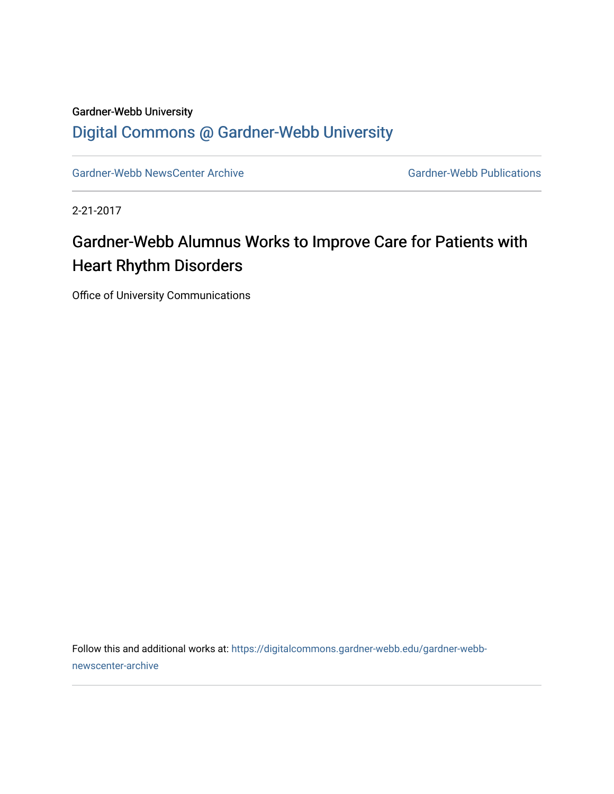## Gardner-Webb University [Digital Commons @ Gardner-Webb University](https://digitalcommons.gardner-webb.edu/)

[Gardner-Webb NewsCenter Archive](https://digitalcommons.gardner-webb.edu/gardner-webb-newscenter-archive) Gardner-Webb Publications

2-21-2017

## Gardner-Webb Alumnus Works to Improve Care for Patients with Heart Rhythm Disorders

Office of University Communications

Follow this and additional works at: [https://digitalcommons.gardner-webb.edu/gardner-webb](https://digitalcommons.gardner-webb.edu/gardner-webb-newscenter-archive?utm_source=digitalcommons.gardner-webb.edu%2Fgardner-webb-newscenter-archive%2F689&utm_medium=PDF&utm_campaign=PDFCoverPages)[newscenter-archive](https://digitalcommons.gardner-webb.edu/gardner-webb-newscenter-archive?utm_source=digitalcommons.gardner-webb.edu%2Fgardner-webb-newscenter-archive%2F689&utm_medium=PDF&utm_campaign=PDFCoverPages)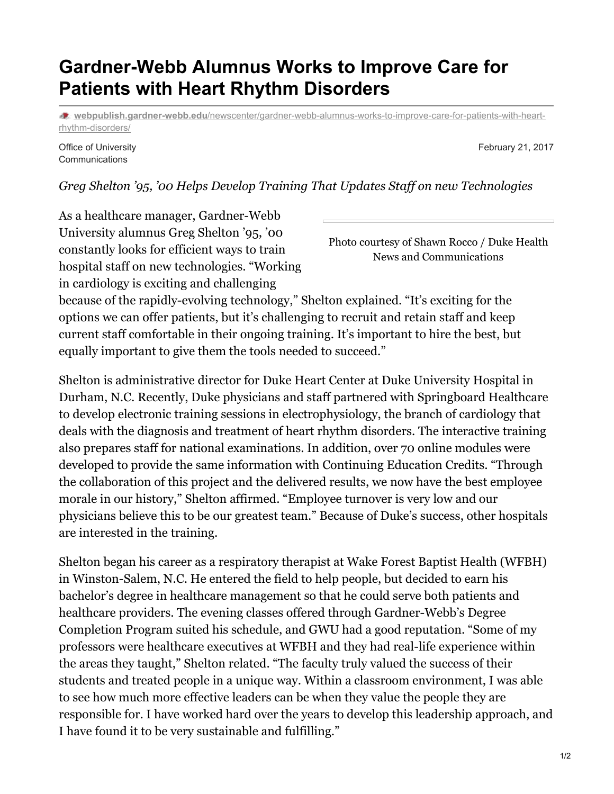## **Gardner-Webb Alumnus Works to Improve Care for Patients with Heart Rhythm Disorders**

**webpublish.gardner-webb.edu**[/newscenter/gardner-webb-alumnus-works-to-improve-care-for-patients-with-heart](https://webpublish.gardner-webb.edu/newscenter/gardner-webb-alumnus-works-to-improve-care-for-patients-with-heart-rhythm-disorders/)rhythm-disorders/

Office of University **Communications** 

February 21, 2017

*Greg Shelton '95, '00 Helps Develop Training That Updates Staf on new Technologies*

As a healthcare manager, Gardner-Webb University alumnus Greg Shelton '95, '00 constantly looks for efficient ways to train hospital staff on new technologies. "Working in cardiology is exciting and challenging

Photo courtesy of Shawn Rocco / Duke Health News and Communications

because of the rapidly-evolving technology," Shelton explained. "It's exciting for the options we can offer patients, but it's challenging to recruit and retain staff and keep current staff comfortable in their ongoing training. It's important to hire the best, but equally important to give them the tools needed to succeed."

Shelton is administrative director for Duke Heart Center at Duke University Hospital in Durham, N.C. Recently, Duke physicians and staff partnered with Springboard Healthcare to develop electronic training sessions in electrophysiology, the branch of cardiology that deals with the diagnosis and treatment of heart rhythm disorders. The interactive training also prepares staff for national examinations. In addition, over 70 online modules were developed to provide the same information with Continuing Education Credits. "Through the collaboration of this project and the delivered results, we now have the best employee morale in our history," Shelton affirmed. "Employee turnover is very low and our physicians believe this to be our greatest team." Because of Duke's success, other hospitals are interested in the training.

Shelton began his career as a respiratory therapist at Wake Forest Baptist Health (WFBH) in Winston-Salem, N.C. He entered the field to help people, but decided to earn his bachelor's degree in healthcare management so that he could serve both patients and healthcare providers. The evening classes offered through Gardner-Webb's Degree Completion Program suited his schedule, and GWU had a good reputation. "Some of my professors were healthcare executives at WFBH and they had real-life experience within the areas they taught," Shelton related. "The faculty truly valued the success of their students and treated people in a unique way. Within a classroom environment, I was able to see how much more effective leaders can be when they value the people they are responsible for. I have worked hard over the years to develop this leadership approach, and I have found it to be very sustainable and fulfilling."